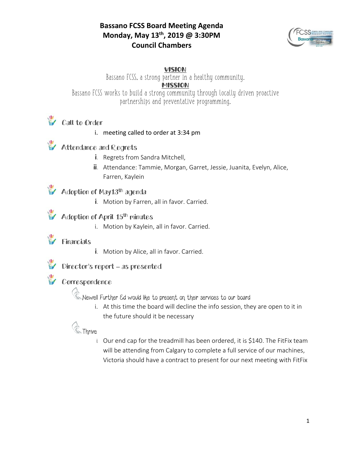#### **Bassano FCSS Board Meeting Agenda Monday, May 13th, 2019 @ 3:30PM Council Chambers**



VISION

Bassano FCSS, a strong partner in a healthy community. MISSION Bassano FCSS works to build a strong community through locally driven proactive partnerships and preventative programming.

### **Call to Order**

#### i. meeting called to order at 3:34 pm

## **W** Attendance and Regrets

- i. Regrets from Sandra Mitchell,
- ii. Attendance: Tammie, Morgan, Garret, Jessie, Juanita, Evelyn, Alice, Farren, Kaylein

### **Adoption of May13<sup>th</sup> agenda**

i. Motion by Farren, all in favor. Carried.

#### Adoption of April 15<sup>th</sup> minutes

i. Motion by Kaylein, all in favor. Carried.

#### Financials

i. Motion by Alice, all in favor. Carried.



### Director's report – as presented

#### Correspondence

Newell Further Ed would like to present on their services to our board

i. At this time the board will decline the info session, they are open to it in the future should it be necessary

# Ce Thrive

i. Our end cap for the treadmill has been ordered, it is \$140. The FitFix team will be attending from Calgary to complete a full service of our machines, Victoria should have a contract to present for our next meeting with FitFix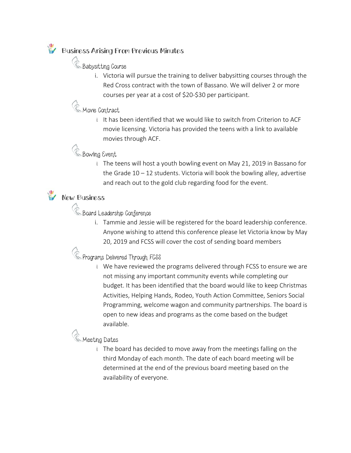### Business Arising From Previous Minutes

**C** Babysitting Course

i. Victoria will pursue the training to deliver babysitting courses through the Red Cross contract with the town of Bassano. We will deliver 2 or more courses per year at a cost of \$20-\$30 per participant.

## **C** Movie Contract

i. It has been identified that we would like to switch from Criterion to ACF movie licensing. Victoria has provided the teens with a link to available movies through ACF.

### **C** Bowling Event

i. The teens will host a youth bowling event on May 21, 2019 in Bassano for the Grade  $10 - 12$  students. Victoria will book the bowling alley, advertise and reach out to the gold club regarding food for the event.

## **W** New Business

**C** Board Leadership Conference

i. Tammie and Jessie will be registered for the board leadership conference. Anyone wishing to attend this conference please let Victoria know by May 20, 2019 and FCSS will cover the cost of sending board members

Programs Delivered Through FCSS

i. We have reviewed the programs delivered through FCSS to ensure we are not missing any important community events while completing our budget. It has been identified that the board would like to keep Christmas Activities, Helping Hands, Rodeo, Youth Action Committee, Seniors Social Programming, welcome wagon and community partnerships. The board is open to new ideas and programs as the come based on the budget available.

## **C** Meeting Dates

i. The board has decided to move away from the meetings falling on the third Monday of each month. The date of each board meeting will be determined at the end of the previous board meeting based on the availability of everyone.